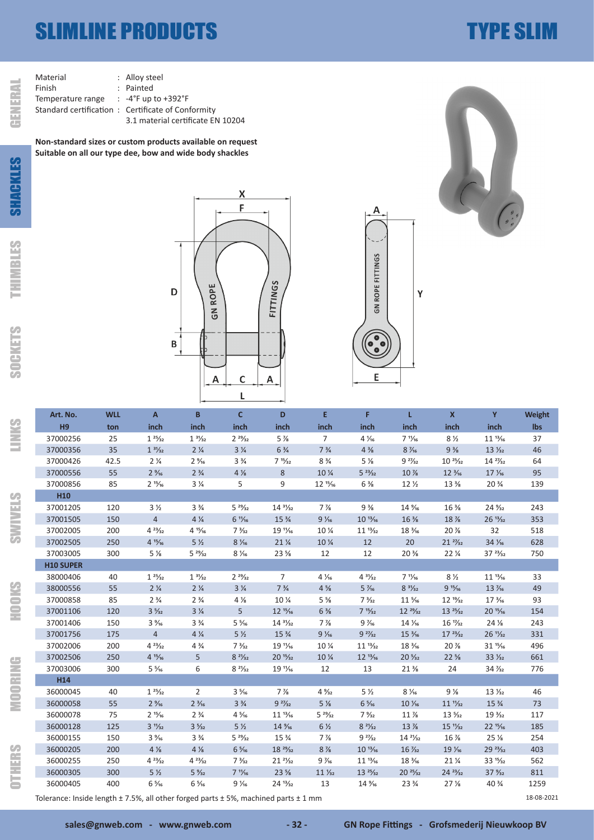## SLIMLINE PRODUCTS **TYPE SLIM**

| Material                          | $:$ Alloy ste      |
|-----------------------------------|--------------------|
| Finish                            | : Painted          |
| Temperature range                 | $: -4^{\circ}$ Fup |
| Standard certification: Certifica |                    |
|                                   | $3.1 \text{ mat}$  |
|                                   |                    |

y steel<br>ted up to +392°F ..<br>ificate of Conformity 3.1 material certificate EN 10204

**Non-standard sizes or custom products available on request Suitable on all our type dee, bow and wide body shackles**

GENERAL



 $\mathsf{\chi}$ 



| Art. No.                                                            | <b>WLL</b> | $\mathsf{A}$      | B                 | $\mathbf{C}$      | D                              | E.                | F.                 | L                   | $\mathbf{x}$               | Y                  | <b>Weight</b> |
|---------------------------------------------------------------------|------------|-------------------|-------------------|-------------------|--------------------------------|-------------------|--------------------|---------------------|----------------------------|--------------------|---------------|
| H9                                                                  | ton        | inch              | inch              | inch              | inch                           | inch              | inch               | inch                | inch                       | inch               | <b>lbs</b>    |
| 37000256                                                            | 25         | $1 \frac{25}{32}$ | $1 \frac{31}{32}$ | $2^{29}/_{32}$    | $5\%$                          | $\overline{7}$    | $4\frac{1}{16}$    | $7 \frac{11}{16}$   | $8\frac{1}{2}$             | $11^{13}/16$       | 37            |
| 37000356                                                            | 35         | $1 \frac{31}{32}$ | $2\frac{1}{4}$    | $3\frac{1}{4}$    | $6\frac{3}{4}$                 | $7\frac{3}{4}$    | $4\frac{3}{8}$     | $8\frac{7}{6}$      | $9\frac{3}{8}$             | $13\frac{1}{32}$   | 46            |
| 37000426                                                            | 42.5       | $2\frac{1}{4}$    | $2\frac{9}{16}$   | $3\frac{3}{4}$    | $7 \frac{15}{32}$              | $8\frac{3}{4}$    | $5\frac{1}{8}$     | $9 \frac{27}{32}$   | $10^{25}/_{32}$            | $14 \frac{27}{32}$ | 64            |
| 37000556                                                            | 55         | $2\frac{9}{16}$   | $2\frac{3}{4}$    | $4\,\%$           | 8                              | 10 %              | $5^{23}/_{32}$     | 10 %                | $12\frac{3}{16}$           | $17\frac{1}{16}$   | 95            |
| 37000856                                                            | 85         | $2^{15/16}$       | $3\frac{1}{4}$    | 5                 | 9                              | $12^{15}/16$      | $6\frac{3}{8}$     | 12 <sub>2</sub>     | 13 %                       | $20\frac{3}{4}$    | 139           |
| H <sub>10</sub>                                                     |            |                   |                   |                   |                                |                   |                    |                     |                            |                    |               |
| 37001205                                                            | 120        | 3 <sub>2</sub>    | $3\frac{3}{4}$    | $5 \frac{29}{32}$ | $14 \frac{31}{32}$             | $7\%$             | $9\frac{3}{8}$     | 14 %                | $16\%$                     | 24 %               | 243           |
| 37001505                                                            | 150        | $\overline{4}$    | $4\frac{1}{4}$    | $6 \frac{11}{16}$ | 15 %                           | $9\frac{1}{16}$   | $10^{13}/16$       | 16 %                | 18 %                       | $26 \frac{13}{32}$ | 353           |
| 37002005                                                            | 200        | $4^{23}/_{32}$    | $4^{15}/_{16}$    | $7\frac{3}{32}$   | $19 \frac{1}{6}$               | 10 %              | $11^{13}/_{32}$    | 18 1/ <sub>16</sub> | 20 %                       | 32                 | 518           |
| 37002505                                                            | 250        | $4^{15}/_{16}$    | 5 <sub>2</sub>    | $8\frac{1}{16}$   | $21\frac{1}{4}$                | 10 %              | 12                 | 20                  | $21 \frac{27}{32}$         | $34\frac{1}{16}$   | 628           |
| 37003005                                                            | 300        | $5\frac{1}{8}$    | $5 \frac{29}{32}$ | $8\frac{1}{16}$   | 23 %                           | 12                | 12                 | 20 %                | $22\frac{1}{4}$            | $37 \frac{23}{32}$ | 750           |
| <b>H10 SUPER</b>                                                    |            |                   |                   |                   |                                |                   |                    |                     |                            |                    |               |
| 38000406                                                            | 40         | $1 \frac{25}{32}$ | $1 \frac{31}{32}$ | $2^{29}/_{32}$    | $\overline{7}$                 | $4\frac{1}{16}$   | $4 \frac{31}{32}$  | $7 \frac{11}{16}$   | $8\frac{1}{2}$             | $11^{13}/16$       | 33            |
| 38000556                                                            | 55         | $2\frac{1}{4}$    | $2\frac{1}{4}$    | $3\frac{1}{4}$    | $7\frac{3}{4}$                 | $4\frac{5}{8}$    | $5\frac{7}{16}$    | $8 \frac{31}{32}$   | 915/16                     | 13 $\frac{7}{16}$  | 49            |
| 37000858                                                            | 85         | $2\frac{3}{4}$    | $2\frac{3}{4}$    | $4\frac{1}{8}$    | 10 %                           | $5\frac{5}{8}$    | $7\frac{3}{32}$    | $11\frac{5}{16}$    | $12 \frac{19}{32}$         | $17\frac{3}{16}$   | 93            |
| 37001106                                                            | 120        | $3\frac{5}{32}$   | $3\frac{1}{4}$    | 5 <sup>1</sup>    | $12^{15}/16$                   | $6\frac{3}{8}$    | $7 \frac{15}{32}$  | $12 \frac{29}{32}$  | $13 \frac{25}{32}$         | $20^{15}/16$       | 154           |
| 37001406                                                            | 150        | $3\frac{9}{16}$   | $3\frac{3}{4}$    | $5\frac{5}{16}$   | $14 \frac{31}{32}$             | $7\%$             | $9\frac{7}{16}$    | 14 1/ <sub>16</sub> | 16 $\frac{1}{32}$          | $24\%$             | 243           |
| 37001756                                                            | 175        | $\overline{4}$    | $4\frac{1}{4}$    | 5 <sub>2</sub>    | $15\frac{3}{4}$                | $9\frac{1}{16}$   | $9 \frac{27}{32}$  | $15\frac{3}{16}$    | $17 \frac{23}{32}$         | $26 \frac{11}{32}$ | 331           |
| 37002006                                                            | 200        | $4^{23}/_{32}$    | $4\frac{3}{4}$    | $7\frac{3}{32}$   | 19 $\frac{1}{16}$              | 10 %              | $11^{13}/_{32}$    | 18 %                | 20 %                       | $31^{15}/16$       | 496           |
| 37002506                                                            | 250        | $4^{15}/16$       | 5                 | $8 \frac{21}{32}$ | $20^{15}/_{32}$                | 10 %              | $12^{13}/_{16}$    | $20\frac{5}{32}$    | $22\frac{5}{8}$            | $33\frac{1}{32}$   | 661           |
| 37003006                                                            | 300        | $5\frac{5}{16}$   | 6                 | $8 \frac{21}{32}$ | 19 $\frac{1}{16}$              | 12                | 13                 | $21\%$              | 24                         | $34\frac{7}{32}$   | 776           |
| H <sub>14</sub>                                                     |            |                   |                   |                   |                                |                   |                    |                     |                            |                    |               |
| 36000045                                                            | 40         | $1 \frac{25}{32}$ | $\overline{2}$    | $3\frac{5}{16}$   | $7\frac{7}{8}$                 | $4\frac{9}{32}$   | 5 <sub>2</sub>     | $8\frac{1}{16}$     | $9\frac{1}{8}$             | $13\frac{1}{3}$    | 46            |
| 36000058                                                            | 55         | $2\frac{9}{16}$   | $2\frac{3}{16}$   | $3\frac{3}{4}$    | $9 \frac{27}{32}$              | $5\%$             | $6\frac{5}{16}$    | $10\frac{1}{16}$    | $11\frac{1}{32}$           | 15 %               | 73            |
| 36000078                                                            | 75         | $2^{15/16}$       | $2\frac{3}{4}$    | $4\frac{5}{16}$   | $11^{13}/16$                   | $5 \frac{29}{32}$ | $7\frac{9}{32}$    | 11 %                | $13\frac{5}{32}$           | $19\frac{3}{32}$   | 117           |
| 36000128                                                            | 125        | $3 \frac{11}{32}$ | $3\frac{5}{32}$   | 5 <sub>2</sub>    | 14 %                           | $6\frac{1}{2}$    | $8 \frac{21}{32}$  | 13 %                | $15 \frac{11}{32}$         | $22^{15}/_{16}$    | 185           |
| 36000155                                                            | 150        | $3\frac{9}{16}$   | $3\frac{3}{4}$    | $5 \frac{29}{32}$ | 15 <sup>3</sup> / <sub>4</sub> | $7\%$             | $92\frac{27}{32}$  | $14 \frac{21}{32}$  | $16\%$                     | 25 <sub>2</sub>    | 254           |
| 36000205                                                            | 200        | $4\frac{1}{8}$    | $4\frac{1}{8}$    | $6\frac{5}{16}$   | $18 \frac{29}{32}$             | $8\%$             | $10^{13}/16$       | $16\frac{7}{32}$    | 19 1/16                    | $29 \frac{23}{32}$ | 403           |
| 36000255                                                            | 250        | $4^{23}/_{32}$    | $4^{23}/_{32}$    | $7\frac{3}{32}$   | $21^{21/32}$                   | $9\frac{7}{6}$    | $11^{13}/_{16}$    | 18 %                | $21\,\frac{\cancel{1}}{4}$ | $33^{15}/_{32}$    | 562           |
| 36000305                                                            | 300        | 5 <sub>2</sub>    | $5\frac{9}{32}$   | $7 \frac{11}{16}$ | $23\frac{5}{8}$                | $11\frac{1}{32}$  | $13 \frac{25}{32}$ | $20 \frac{25}{32}$  | $24 \frac{23}{32}$         | $37\frac{9}{32}$   | 811           |
| 36000405                                                            | 400        | $6\frac{5}{16}$   | $6\frac{5}{16}$   | $9\frac{1}{16}$   | $24 \frac{13}{32}$             | 13                | 14 %               | 23 %                | 27 <sub>2</sub>            | 40 %               | 1259          |
| $\blacksquare$<br>$\cdot$ $\cdot$ $\sim$ $\sim$ $\cdot$<br>10.00.20 |            |                   |                   |                   |                                |                   |                    |                     |                            |                    |               |